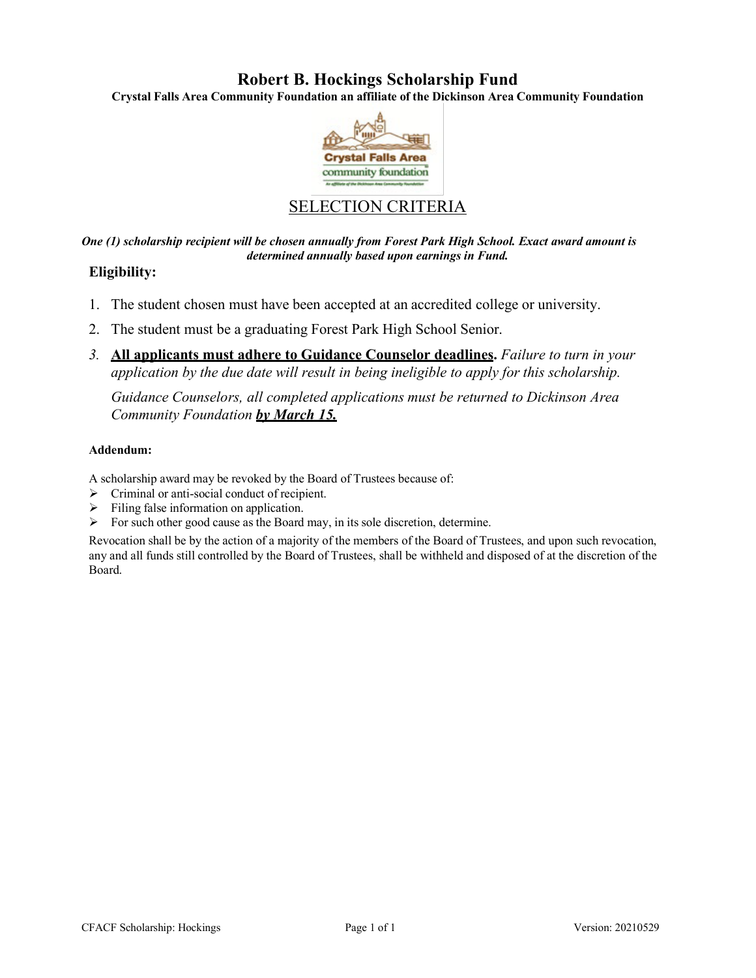## **Robert B. Hockings Scholarship Fund**

**Crystal Falls Area Community Foundation an affiliate of the Dickinson Area Community Foundation**



# SELECTION CRITERIA

*One (1) scholarship recipient will be chosen annually from Forest Park High School. Exact award amount is determined annually based upon earnings in Fund.*

### **Eligibility:**

- 1. The student chosen must have been accepted at an accredited college or university.
- 2. The student must be a graduating Forest Park High School Senior.
- *3.* **All applicants must adhere to Guidance Counselor deadlines.** *Failure to turn in your application by the due date will result in being ineligible to apply for this scholarship.*

*Guidance Counselors, all completed applications must be returned to Dickinson Area Community Foundation by March 15.*

#### **Addendum:**

A scholarship award may be revoked by the Board of Trustees because of:

- Criminal or anti-social conduct of recipient.
- $\triangleright$  Filing false information on application.
- $\triangleright$  For such other good cause as the Board may, in its sole discretion, determine.

Revocation shall be by the action of a majority of the members of the Board of Trustees, and upon such revocation, any and all funds still controlled by the Board of Trustees, shall be withheld and disposed of at the discretion of the Board.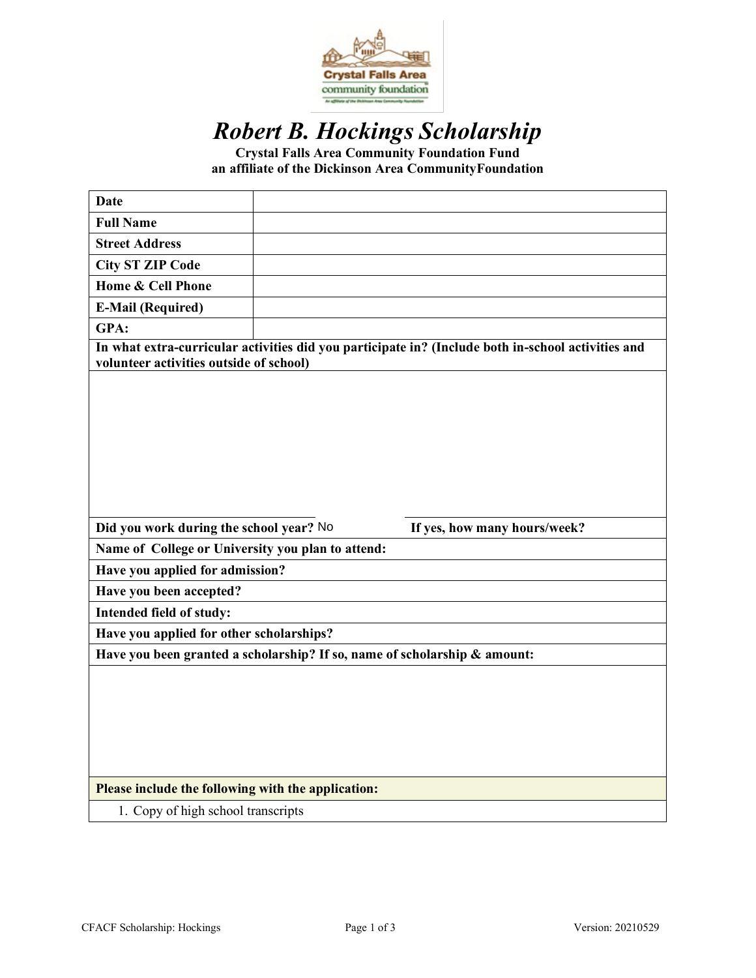

# *Robert B. Hockings Scholarship*

**Crystal Falls Area Community Foundation Fund an affiliate of the Dickinson Area CommunityFoundation**

| <b>Date</b>                                                                                                                                   |  |                              |  |
|-----------------------------------------------------------------------------------------------------------------------------------------------|--|------------------------------|--|
| <b>Full Name</b>                                                                                                                              |  |                              |  |
| <b>Street Address</b>                                                                                                                         |  |                              |  |
| <b>City ST ZIP Code</b>                                                                                                                       |  |                              |  |
| Home & Cell Phone                                                                                                                             |  |                              |  |
| <b>E-Mail (Required)</b>                                                                                                                      |  |                              |  |
| GPA:                                                                                                                                          |  |                              |  |
| In what extra-curricular activities did you participate in? (Include both in-school activities and<br>volunteer activities outside of school) |  |                              |  |
|                                                                                                                                               |  |                              |  |
|                                                                                                                                               |  |                              |  |
| Did you work during the school year? No                                                                                                       |  | If yes, how many hours/week? |  |
| Name of College or University you plan to attend:                                                                                             |  |                              |  |
| Have you applied for admission?                                                                                                               |  |                              |  |
| Have you been accepted?                                                                                                                       |  |                              |  |
| Intended field of study:                                                                                                                      |  |                              |  |
| Have you applied for other scholarships?                                                                                                      |  |                              |  |
| Have you been granted a scholarship? If so, name of scholarship & amount:                                                                     |  |                              |  |
|                                                                                                                                               |  |                              |  |
| Please include the following with the application:                                                                                            |  |                              |  |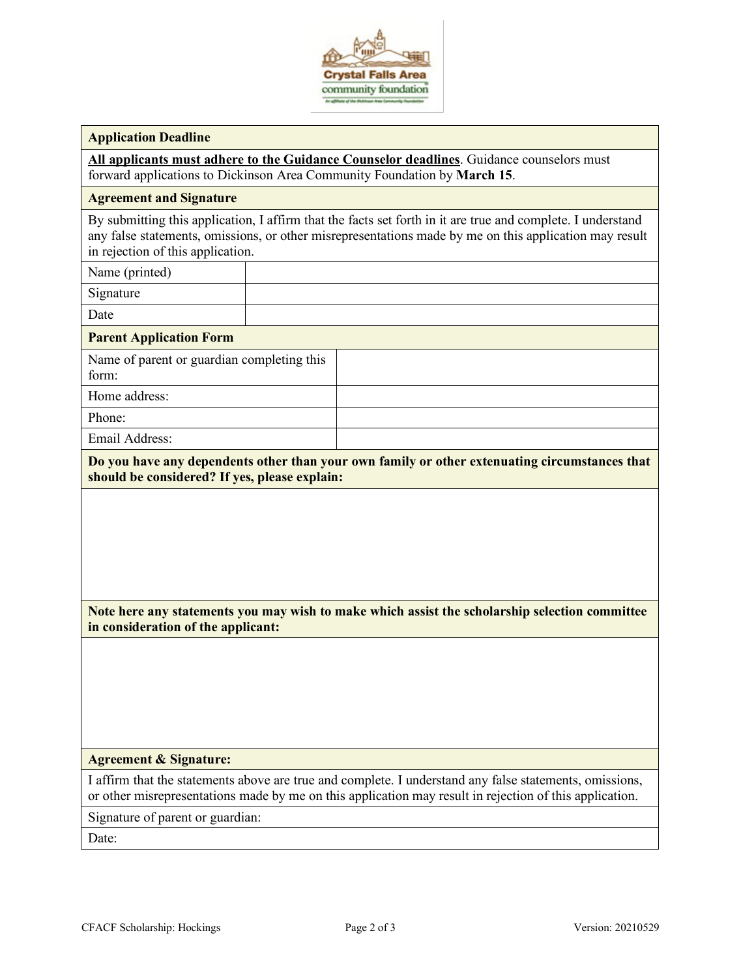

#### **Application Deadline**

**All applicants must adhere to the Guidance Counselor deadlines**. Guidance counselors must forward applications to Dickinson Area Community Foundation by **March 15**.

#### **Agreement and Signature**

By submitting this application, I affirm that the facts set forth in it are true and complete. I understand any false statements, omissions, or other misrepresentations made by me on this application may result in rejection of this application.

Name (printed)

Signature

Date

#### **Parent Application Form**

Name of parent or guardian completing this form:

Home address:

Phone:

Email Address:

**Do you have any dependents other than your own family or other extenuating circumstances that should be considered? If yes, please explain:**

**Note here any statements you may wish to make which assist the scholarship selection committee in consideration of the applicant:**

#### **Agreement & Signature:**

I affirm that the statements above are true and complete. I understand any false statements, omissions, or other misrepresentations made by me on this application may result in rejection of this application.

Signature of parent or guardian:

Date: